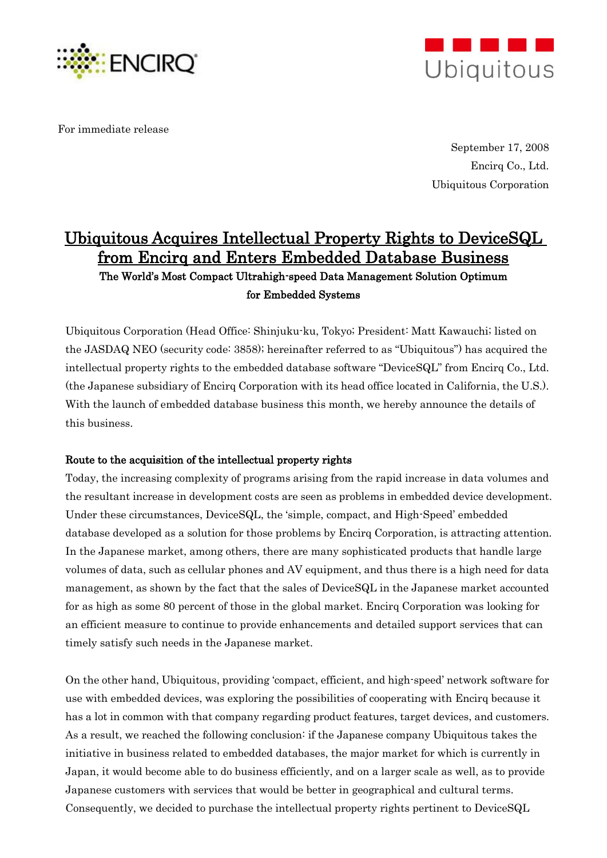

For immediate release



September 17, 2008 Encirq Co., Ltd. Ubiquitous Corporation

# Ubiquitous Acquires Intellectual Property Rights to DeviceSQL from Encirq and Enters Embedded Database Business The World"s Most Compact Ultrahigh-speed Data Management Solution Optimum

for Embedded Systems

Ubiquitous Corporation (Head Office: Shinjuku-ku, Tokyo; President: Matt Kawauchi; listed on the JASDAQ NEO (security code: 3858); hereinafter referred to as "Ubiquitous") has acquired the intellectual property rights to the embedded database software "DeviceSQL" from Encirq Co., Ltd. (the Japanese subsidiary of Encirq Corporation with its head office located in California, the U.S.). With the launch of embedded database business this month, we hereby announce the details of this business.

## Route to the acquisition of the intellectual property rights

Today, the increasing complexity of programs arising from the rapid increase in data volumes and the resultant increase in development costs are seen as problems in embedded device development. Under these circumstances, DeviceSQL, the "simple, compact, and High-Speed" embedded database developed as a solution for those problems by Encirq Corporation, is attracting attention. In the Japanese market, among others, there are many sophisticated products that handle large volumes of data, such as cellular phones and AV equipment, and thus there is a high need for data management, as shown by the fact that the sales of DeviceSQL in the Japanese market accounted for as high as some 80 percent of those in the global market. Encirq Corporation was looking for an efficient measure to continue to provide enhancements and detailed support services that can timely satisfy such needs in the Japanese market.

On the other hand, Ubiquitous, providing "compact, efficient, and high-speed" network software for use with embedded devices, was exploring the possibilities of cooperating with Encirq because it has a lot in common with that company regarding product features, target devices, and customers. As a result, we reached the following conclusion: if the Japanese company Ubiquitous takes the initiative in business related to embedded databases, the major market for which is currently in Japan, it would become able to do business efficiently, and on a larger scale as well, as to provide Japanese customers with services that would be better in geographical and cultural terms. Consequently, we decided to purchase the intellectual property rights pertinent to DeviceSQL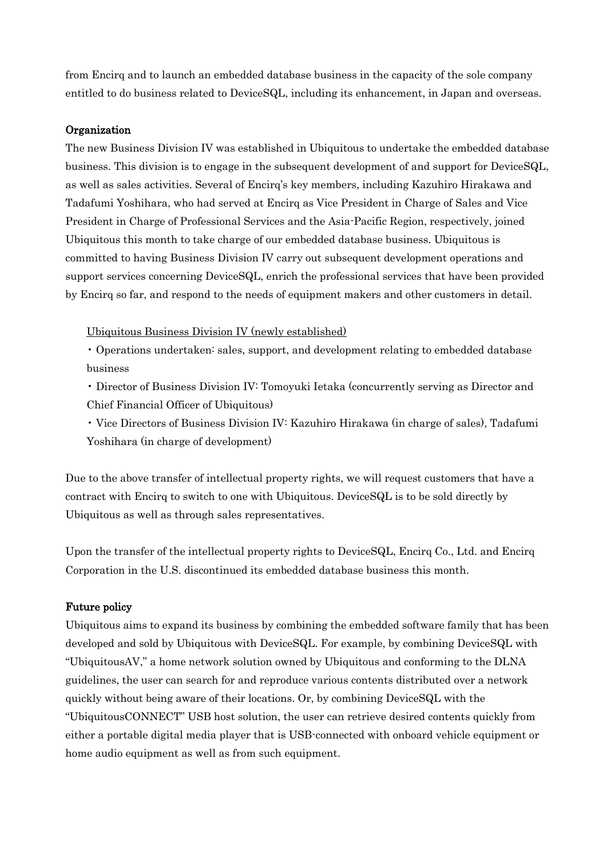from Encirq and to launch an embedded database business in the capacity of the sole company entitled to do business related to DeviceSQL, including its enhancement, in Japan and overseas.

## Organization

The new Business Division IV was established in Ubiquitous to undertake the embedded database business. This division is to engage in the subsequent development of and support for DeviceSQL, as well as sales activities. Several of Encirq"s key members, including Kazuhiro Hirakawa and Tadafumi Yoshihara, who had served at Encirq as Vice President in Charge of Sales and Vice President in Charge of Professional Services and the Asia-Pacific Region, respectively, joined Ubiquitous this month to take charge of our embedded database business. Ubiquitous is committed to having Business Division IV carry out subsequent development operations and support services concerning DeviceSQL, enrich the professional services that have been provided by Encirq so far, and respond to the needs of equipment makers and other customers in detail.

Ubiquitous Business Division IV (newly established)

• Operations undertaken: sales, support, and development relating to embedded database business

• Director of Business Division IV: Tomoyuki Ietaka (concurrently serving as Director and Chief Financial Officer of Ubiquitous)

• Vice Directors of Business Division IV: Kazuhiro Hirakawa (in charge of sales), Tadafumi Yoshihara (in charge of development)

Due to the above transfer of intellectual property rights, we will request customers that have a contract with Encirq to switch to one with Ubiquitous. DeviceSQL is to be sold directly by Ubiquitous as well as through sales representatives.

Upon the transfer of the intellectual property rights to DeviceSQL, Encirq Co., Ltd. and Encirq Corporation in the U.S. discontinued its embedded database business this month.

## Future policy

Ubiquitous aims to expand its business by combining the embedded software family that has been developed and sold by Ubiquitous with DeviceSQL. For example, by combining DeviceSQL with "UbiquitousAV," a home network solution owned by Ubiquitous and conforming to the DLNA guidelines, the user can search for and reproduce various contents distributed over a network quickly without being aware of their locations. Or, by combining DeviceSQL with the "UbiquitousCONNECT" USB host solution, the user can retrieve desired contents quickly from either a portable digital media player that is USB-connected with onboard vehicle equipment or home audio equipment as well as from such equipment.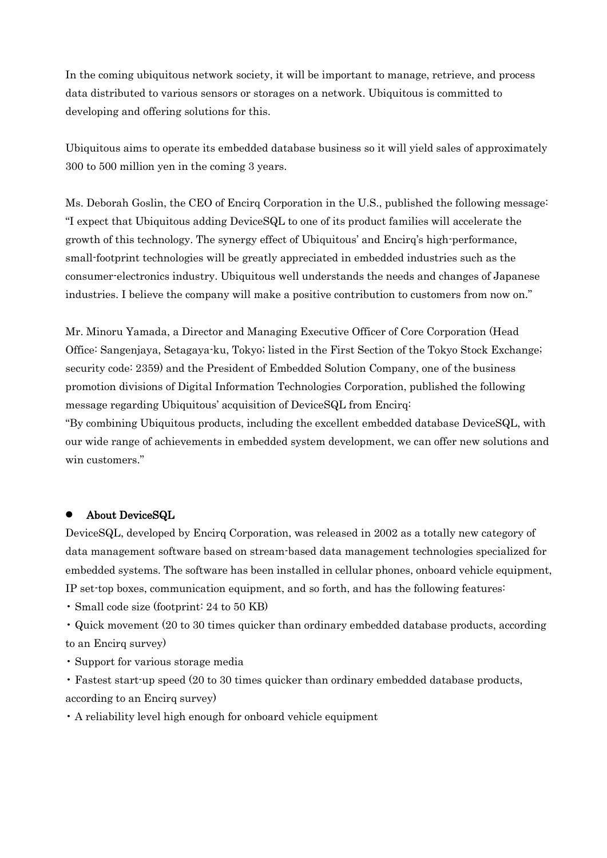In the coming ubiquitous network society, it will be important to manage, retrieve, and process data distributed to various sensors or storages on a network. Ubiquitous is committed to developing and offering solutions for this.

Ubiquitous aims to operate its embedded database business so it will yield sales of approximately 300 to 500 million yen in the coming 3 years.

Ms. Deborah Goslin, the CEO of Encirq Corporation in the U.S., published the following message: "I expect that Ubiquitous adding DeviceSQL to one of its product families will accelerate the growth of this technology. The synergy effect of Ubiquitous" and Encirq"s high-performance, small-footprint technologies will be greatly appreciated in embedded industries such as the consumer-electronics industry. Ubiquitous well understands the needs and changes of Japanese industries. I believe the company will make a positive contribution to customers from now on."

Mr. Minoru Yamada, a Director and Managing Executive Officer of Core Corporation (Head Office: Sangenjaya, Setagaya-ku, Tokyo; listed in the First Section of the Tokyo Stock Exchange; security code: 2359) and the President of Embedded Solution Company, one of the business promotion divisions of Digital Information Technologies Corporation, published the following message regarding Ubiquitous" acquisition of DeviceSQL from Encirq:

"By combining Ubiquitous products, including the excellent embedded database DeviceSQL, with our wide range of achievements in embedded system development, we can offer new solutions and win customers."

## About DeviceSQL

DeviceSQL, developed by Encirq Corporation, was released in 2002 as a totally new category of data management software based on stream-based data management technologies specialized for embedded systems. The software has been installed in cellular phones, onboard vehicle equipment, IP set-top boxes, communication equipment, and so forth, and has the following features:

• Small code size (footprint: 24 to 50 KB)

• Quick movement (20 to 30 times quicker than ordinary embedded database products, according to an Encirq survey)

• Support for various storage media

• Fastest start-up speed (20 to 30 times quicker than ordinary embedded database products, according to an Encirq survey)

• A reliability level high enough for onboard vehicle equipment